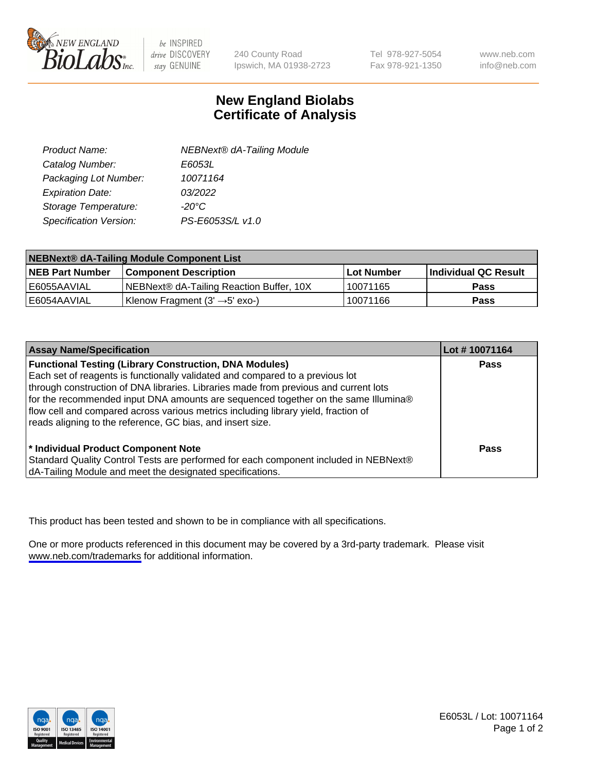

be INSPIRED drive DISCOVERY stay GENUINE

240 County Road Ipswich, MA 01938-2723 Tel 978-927-5054 Fax 978-921-1350

www.neb.com info@neb.com

## **New England Biolabs Certificate of Analysis**

| Product Name:           | <b>NEBNext® dA-Tailing Module</b> |
|-------------------------|-----------------------------------|
| Catalog Number:         | E6053L                            |
| Packaging Lot Number:   | 10071164                          |
| <b>Expiration Date:</b> | 03/2022                           |
| Storage Temperature:    | $-20^{\circ}$ C                   |
| Specification Version:  | PS-E6053S/L v1.0                  |

| NEBNext® dA-Tailing Module Component List |                                            |                   |                      |  |
|-------------------------------------------|--------------------------------------------|-------------------|----------------------|--|
| <b>NEB Part Number</b>                    | <b>Component Description</b>               | <b>Lot Number</b> | Individual QC Result |  |
| LE6055AAVIAL                              | NEBNext® dA-Tailing Reaction Buffer, 10X   | 10071165          | <b>Pass</b>          |  |
| I E6054AAVIAL                             | Klenow Fragment $(3' \rightarrow 5'$ exo-) | 10071166          | <b>Pass</b>          |  |

| <b>Assay Name/Specification</b>                                                      | Lot #10071164 |
|--------------------------------------------------------------------------------------|---------------|
| <b>Functional Testing (Library Construction, DNA Modules)</b>                        | <b>Pass</b>   |
| Each set of reagents is functionally validated and compared to a previous lot        |               |
| through construction of DNA libraries. Libraries made from previous and current lots |               |
| for the recommended input DNA amounts are sequenced together on the same Illumina®   |               |
| flow cell and compared across various metrics including library yield, fraction of   |               |
| reads aligning to the reference, GC bias, and insert size.                           |               |
|                                                                                      |               |
| <sup>*</sup> Individual Product Component Note                                       | <b>Pass</b>   |
| Standard Quality Control Tests are performed for each component included in NEBNext® |               |
| dA-Tailing Module and meet the designated specifications.                            |               |

This product has been tested and shown to be in compliance with all specifications.

One or more products referenced in this document may be covered by a 3rd-party trademark. Please visit <www.neb.com/trademarks>for additional information.